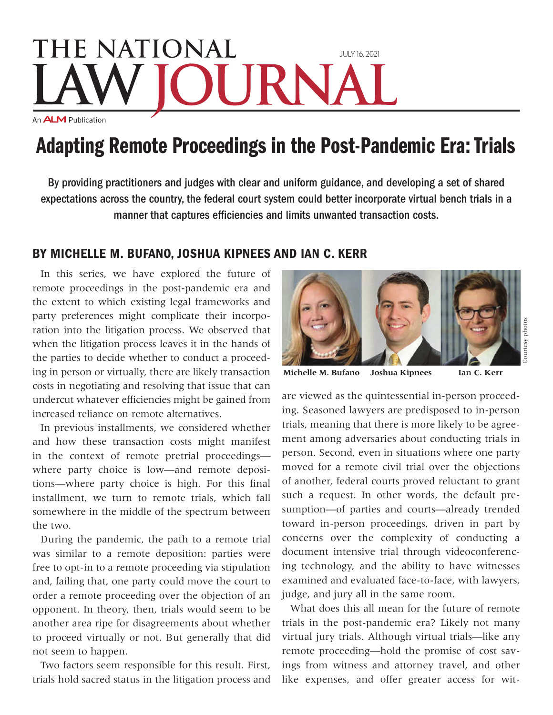## **THE NATIONAL** July 16, 2021 URN An **ALM** Publication

## Adapting Remote Proceedings in the Post-Pandemic Era: Trials

By providing practitioners and judges with clear and uniform guidance, and developing a set of shared expectations across the country, the federal court system could better incorporate virtual bench trials in a manner that captures efficiencies and limits unwanted transaction costs.

## By Michelle M. Bufano, Joshua Kipnees and Ian C. Kerr

In this series, we have explored the future of remote proceedings in the post-pandemic era and the extent to which existing legal frameworks and party preferences might complicate their incorporation into the litigation process. We observed that when the litigation process leaves it in the hands of the parties to decide whether to conduct a proceeding in person or virtually, there are likely transaction costs in negotiating and resolving that issue that can undercut whatever efficiencies might be gained from increased reliance on remote alternatives.

In previous installments, we considered whether and how these transaction costs might manifest in the context of remote pretrial proceedings where party choice is low—and remote depositions—where party choice is high. For this final installment, we turn to remote trials, which fall somewhere in the middle of the spectrum between the two.

During the pandemic, the path to a remote trial was similar to a remote deposition: parties were free to opt-in to a remote proceeding via stipulation and, failing that, one party could move the court to order a remote proceeding over the objection of an opponent. In theory, then, trials would seem to be another area ripe for disagreements about whether to proceed virtually or not. But generally that did not seem to happen.

Two factors seem responsible for this result. First, trials hold sacred status in the litigation process and



**Michelle M. Bufano Joshua Kipnees Ian C. Kerr**

are viewed as the quintessential in-person proceeding. Seasoned lawyers are predisposed to in-person trials, meaning that there is more likely to be agreement among adversaries about conducting trials in person. Second, even in situations where one party moved for a remote civil trial over the objections of another, federal courts proved reluctant to grant such a request. In other words, the default presumption—of parties and courts—already trended toward in-person proceedings, driven in part by concerns over the complexity of conducting a document intensive trial through videoconferencing technology, and the ability to have witnesses examined and evaluated face-to-face, with lawyers, judge, and jury all in the same room.

What does this all mean for the future of remote trials in the post-pandemic era? Likely not many virtual jury trials. Although virtual trials—like any remote proceeding—hold the promise of cost savings from witness and attorney travel, and other like expenses, and offer greater access for wit